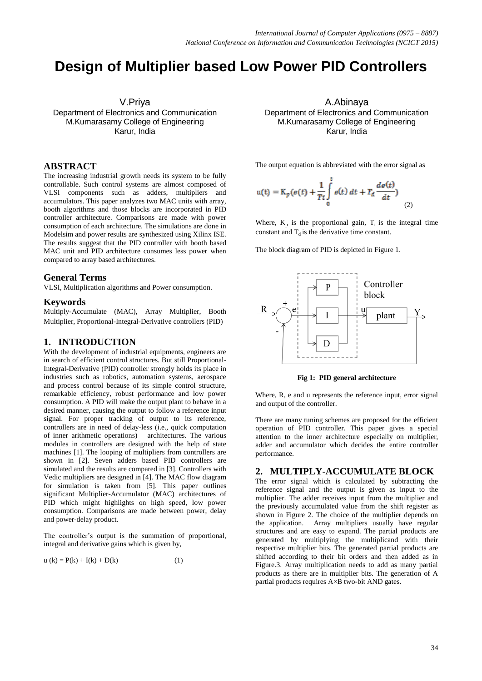# **Design of Multiplier based Low Power PID Controllers**

V.Priya Department of Electronics and Communication M.Kumarasamy College of Engineering Karur, India

## **ABSTRACT**

The increasing industrial growth needs its system to be fully controllable. Such control systems are almost composed of VLSI components such as adders, multipliers and accumulators. This paper analyzes two MAC units with array, booth algorithms and those blocks are incorporated in PID controller architecture. Comparisons are made with power consumption of each architecture. The simulations are done in Modelsim and power results are synthesized using Xilinx ISE. The results suggest that the PID controller with booth based MAC unit and PID architecture consumes less power when compared to array based architectures.

## **General Terms**

VLSI, Multiplication algorithms and Power consumption.

## **Keywords**

Multiply-Accumulate (MAC), Array Multiplier, Booth Multiplier, Proportional-Integral-Derivative controllers (PID)

## **1. INTRODUCTION**

With the development of industrial equipments, engineers are in search of efficient control structures. But still Proportional-Integral-Derivative (PID) controller strongly holds its place in industries such as robotics, automation systems, aerospace and process control because of its simple control structure, remarkable efficiency, robust performance and low power consumption. A PID will make the output plant to behave in a desired manner, causing the output to follow a reference input signal. For proper tracking of output to its reference, controllers are in need of delay-less (i.e., quick computation of inner arithmetic operations) architectures. The various modules in controllers are designed with the help of state machines [1]. The looping of multipliers from controllers are shown in [2]. Seven adders based PID controllers are simulated and the results are compared in [3]. Controllers with Vedic multipliers are designed in [4]. The MAC flow diagram for simulation is taken from [5]. This paper outlines significant Multiplier-Accumulator (MAC) architectures of PID which might highlights on high speed, low power consumption. Comparisons are made between power, delay and power-delay product.

The controller's output is the summation of proportional, integral and derivative gains which is given by,

$$
u (k) = P(k) + I(k) + D(k)
$$
 (1)

A.Abinaya Department of Electronics and Communication M.Kumarasamy College of Engineering Karur, India

The output equation is abbreviated with the error signal as

$$
u(t) = K_p(e(t) + \frac{1}{T_i} \int_0^t e(t) dt + T_d \frac{de(t)}{dt}
$$
\n(2)

Where,  $K_p$  is the proportional gain,  $T_i$  is the integral time constant and  $T_d$  is the derivative time constant.

The block diagram of PID is depicted in Figure 1.



**Fig 1: PID general architecture**

Where, R, e and u represents the reference input, error signal and output of the controller.

There are many tuning schemes are proposed for the efficient operation of PID controller. This paper gives a special attention to the inner architecture especially on multiplier, adder and accumulator which decides the entire controller performance.

#### **2. MULTIPLY-ACCUMULATE BLOCK**

The error signal which is calculated by subtracting the reference signal and the output is given as input to the multiplier. The adder receives input from the multiplier and the previously accumulated value from the shift register as shown in Figure 2. The choice of the multiplier depends on the application. Array multipliers usually have regular structures and are easy to expand. The partial products are generated by multiplying the multiplicand with their respective multiplier bits. The generated partial products are shifted according to their bit orders and then added as in Figure.3. Array multiplication needs to add as many partial products as there are in multiplier bits. The generation of A partial products requires  $A \times B$  two-bit AND gates.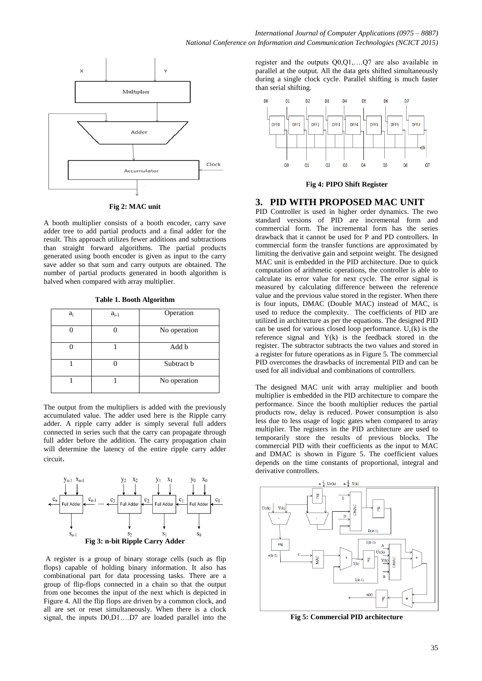

**Fig 2: MAC unit**

A booth multiplier consists of a booth encoder, carry save adder tree to add partial products and a final adder for the result. This approach utilizes fewer additions and subtractions than straight forward algorithms. The partial products generated using booth encoder is given as input to the carry save adder so that sum and carry outputs are obtained. The number of partial products generated in booth algorithm is halved when compared with array multiplier.

|  |  |  |  | Table 1. Booth Algorithm |
|--|--|--|--|--------------------------|
|--|--|--|--|--------------------------|

| $a_i$ | $a_{i-1}$ | Operation    |
|-------|-----------|--------------|
|       |           | No operation |
|       |           | Add b        |
|       |           | Subtract b   |
|       |           | No operation |

The output from the multipliers is added with the previously accumulated value. The adder used here is the Ripple carry adder. A ripple carry adder is simply several full adders connected in series such that the carry can propagate through full adder before the addition. The carry propagation chain will determine the latency of the entire ripple carry adder circuit.



A register is a group of binary storage cells (such as flip flops) capable of holding binary information. It also has combinational part for data processing tasks. There are a group of flip-flops connected in a chain so that the output from one becomes the input of the next which is depicted in Figure 4. All the flip flops are driven by a common clock, and all are set or reset simultaneously. When there is a clock signal, the inputs D0,D1….D7 are loaded parallel into the

register and the outputs Q0,Q1,….Q7 are also available in parallel at the output. All the data gets shifted simultaneously during a single clock cycle. Parallel shifting is much faster than serial shifting.



**Fig 4: PIPO Shift Register**

## **3. PID WITH PROPOSED MAC UNIT**

PID Controller is used in higher order dynamics. The two standard versions of PID are incremental form and commercial form. The incremental form has the series drawback that it cannot be used for P and PD controllers. In commercial form the transfer functions are approximated by limiting the derivative gain and setpoint weight. The designed MAC unit is embedded in the PID architecture. Due to quick computation of arithmetic operations, the controller is able to calculate its error value for next cycle. The error signal is measured by calculating difference between the reference value and the previous value stored in the register. When there is four inputs, DMAC (Double MAC) instead of MAC, is used to reduce the complexity. The coefficients of PID are utilized in architecture as per the equations. The designed PID can be used for various closed loop performance.  $U_c(k)$  is the reference signal and  $Y(k)$  is the feedback stored in the register. The subtractor subtracts the two values and stored in a register for future operations as in Figure 5. The commercial PID overcomes the drawbacks of incremental PID and can be used for all individual and combinations of controllers.

The designed MAC unit with array multiplier and booth multiplier is embedded in the PID architecture to compare the performance. Since the booth multiplier reduces the partial products row, delay is reduced. Power consumption is also less due to less usage of logic gates when compared to array multiplier. The registers in the PID architecture are used to temporarily store the results of previous blocks. The commercial PID with their coefficients as the input to MAC and DMAC is shown in Figure 5. The coefficient values depends on the time constants of proportional, integral and derivative controllers.



**Fig 5: Commercial PID architecture**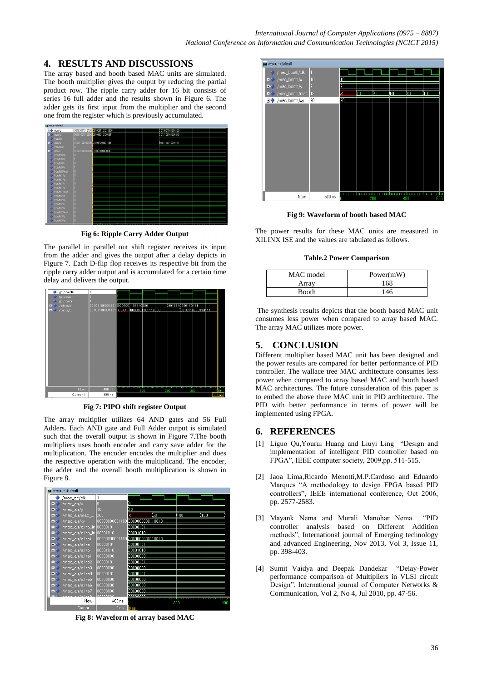# **4. RESULTS AND DISCUSSIONS**

The array based and booth based MAC units are simulated. The booth multiplier gives the output by reducing the partial product row. The ripple carry adder for 16 bit consists of series 16 full adder and the results shown in Figure 6. The adder gets its first input from the multiplier and the second one from the register which is previously accumulated.



**Fig 6: Ripple Carry Adder Output**

The parallel in parallel out shift register receives its input from the adder and gives the output after a delay depicts in Figure 7. Each D-flip flop receives its respective bit from the ripple carry adder output and is accumulated for a certain time delay and delivers the output.



**Fig 7: PIPO shift register Output**

The array multiplier utilizes 64 AND gates and 56 Full Adders. Each AND gate and Full Adder output is simulated such that the overall output is shown in Figure 7.The booth multipliers uses booth encoder and carry save adder for the multiplication. The encoder encodes the multiplier and does the respective operation with the multiplicand. The encoder, the adder and the overall booth multiplication is shown in Figure 8.



**Fig 8: Waveform of array based MAC**



**Fig 9: Waveform of booth based MAC**

The power results for these MAC units are measured in XILINX ISE and the values are tabulated as follows.

**Table.2 Power Comparison**

| MAC model | Power(mW) |
|-----------|-----------|
| Arrav     | 168       |
| Booth     | 146       |

The synthesis results depicts that the booth based MAC unit consumes less power when compared to array based MAC. The array MAC utilizes more power.

# **5. CONCLUSION**

Different multiplier based MAC unit has been designed and the power results are compared for better performance of PID controller. The wallace tree MAC architecture consumes less power when compared to array based MAC and booth based MAC architectures. The future consideration of this paper is to embed the above three MAC unit in PID architecture. The PID with better performance in terms of power will be implemented using FPGA.

# **6. REFERENCES**

- [1] Liguo Qu,Yourui Huang and Liuyi Ling "Design and implementation of intelligent PID controller based on FPGA", IEEE computer society, 2009,pp. 511-515.
- [2] Jaoa Lima,Ricardo Menotti,M.P.Cardoso and Eduardo Marques "A methodology to design FPGA based PID controllers", IEEE international conference, Oct 2006, pp. 2577-2583.
- [3] Mayank Nema and Murali Manohar Nema "PID controller analysis based on Different Addition methods", International journal of Emerging technology and advanced Engineering, Nov 2013, Vol 3, Issue 11, pp. 398-403.
- [4] Sumit Vaidya and Deepak Dandekar "Delay-Power performance comparison of Multipliers in VLSI circuit Design", International journal of Computer Networks & Communication, Vol 2, No 4, Jul 2010, pp. 47-56.